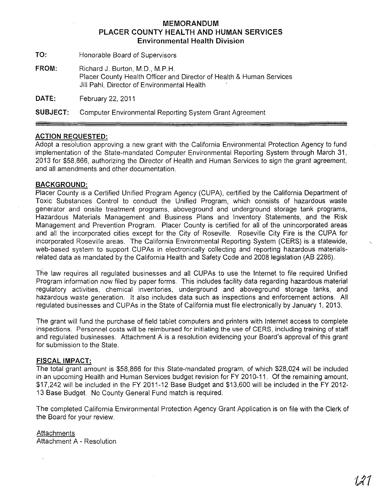## **MEMORANDUM PLACER COUNTY HEALTH AND HUMAN SERVICES Environmental Health Division**

TO: Honorable Board of Supervisors

FROM: Richard J. Burton, M.D., M.P.H. Placer County Health Officer and Director of Health & Human Services Jill Pahl, Director of Environmental Health

**DATE:** February 22,2011

**SUBJECT:** Computer Environmental Reporting System Grant Agreement

## **ACTION REQUESTED:**

Adopt a resolution approving a new grant with the California Environmental Protection Agency to fund implementation of the State-mandated Computer Environmental Reporting System through March 31, 2013 for \$58,866, authorizing the Director of Health and Human Services to sign the grant agreement, and all amendments and other documentation.

### **BACKGROUND:**

Placer County is a Certified Unified Program Agency (CUPA), certified by the California Department of Toxic Substances Control to conduct the Unified Program, which consists of hazardous waste generator and onsite treatment programs, aboveground and underground storage tank programs, Hazardous Materials Management and Business Plans and Inventory Statements, and the Risk Management and Prevention Program. Placer County is certified for all of the unincorporated areas and all the incorporated cities except for the City of Roseville. Roseville City Fire is the CUPA for incorporated Roseville areas. The California Environmental Reporting System (CERS) is a statewide, web-based system to support CUPAs in electronically collecting and reporting hazardous materialsrelated data as mandated by the California Health and Safety Code and 2008 legislation (AB 2286).

The law requires all regulated businesses and all CUPAs to use the Internet to file required Unified Program information now filed by paper forms. This includes facility data regarding hazardous material regulatory activities, chemical inventories, underground and aboveground storage tanks, and hazardous waste generation. It also includes data such as inspections and enforcement actions. All regulated businesses and CUPAs in the State of California must file electronically by January 1, 2013.

The grant will fund the purchase of field tablet computers and printers with Internet access to complete inspections. Personnel costs will be reimbursed for initiating the use of CERS, including training of staff and regulated businesses. Attachment A is a resolution evidencing your Board's approval of this grant for submission to the State.

#### **FISCAL IMPACT:**

The total grant amount is \$58,866 for this State-mandated program, of which \$28,024 will be included in an upcoming Health and Human Services budget revision for FY 2010-11. Of the remaining amount, \$17,242 will be included in the FY 2011-12 Base Budget and \$13,600 will be included in the FY 2012- 13 Base Budget. No County General Fund match is required.

The completed California Environmental Protection Agency Grant Application is on file with the Clerk of the Board for your review.

**Attachments** Attachment A - Resolution